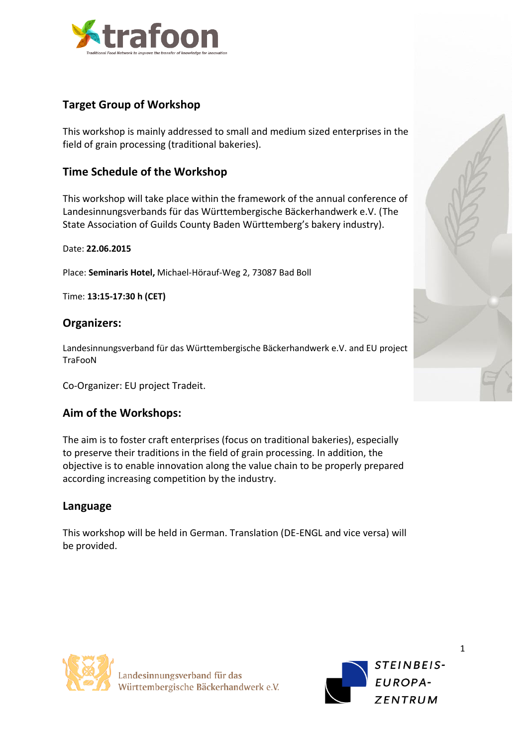

# **Target Group of Workshop**

This workshop is mainly addressed to small and medium sized enterprises in the field of grain processing (traditional bakeries).

## **Time Schedule of the Workshop**

This workshop will take place within the framework of the annual conference of Landesinnungsverbands für das Württembergische Bäckerhandwerk e.V. (The State Association of Guilds County Baden Württemberg's bakery industry).

Date: **22.06.2015**

Place: **Seminaris Hotel,** Michael-Hörauf-Weg 2, 73087 Bad Boll

Time: **13:15-17:30 h (CET)**

#### **Organizers:**

Landesinnungsverband für das Württembergische Bäckerhandwerk e.V. and EU project **TraFooN** 

Co-Organizer: EU project Tradeit.

### **Aim of the Workshops:**

The aim is to foster craft enterprises (focus on traditional bakeries), especially to preserve their traditions in the field of grain processing. In addition, the objective is to enable innovation along the value chain to be properly prepared according increasing competition by the industry.

#### **Language**

This workshop will be held in German. Translation (DE-ENGL and vice versa) will be provided.





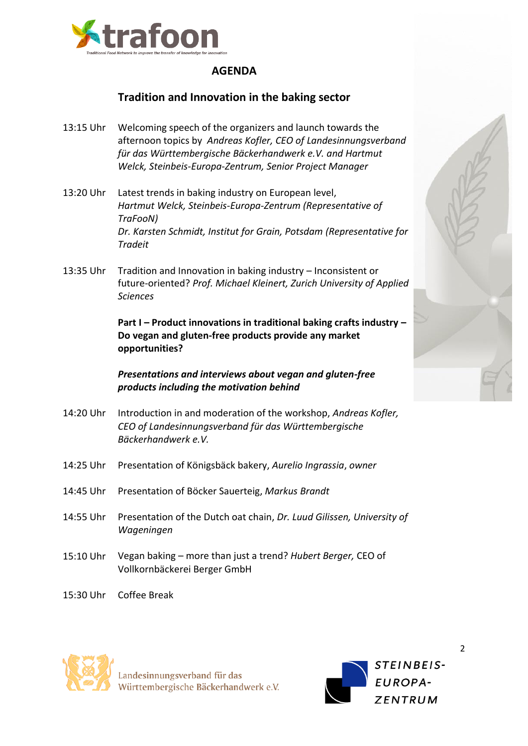

# **AGENDA**

## **Tradition and Innovation in the baking sector**

- 13:15 Uhr Welcoming speech of the organizers and launch towards the afternoon topics by *Andreas Kofler, CEO of Landesinnungsverband für das Württembergische Bäckerhandwerk e.V. and Hartmut Welck, Steinbeis-Europa-Zentrum, Senior Project Manager*
- 13:20 Uhr Latest trends in baking industry on European level, *Hartmut Welck, Steinbeis-Europa-Zentrum (Representative of TraFooN) Dr. Karsten Schmidt, Institut for Grain, Potsdam (Representative for Tradeit*
- 13:35 Uhr Tradition and Innovation in baking industry Inconsistent or future-oriented? *Prof. Michael Kleinert, Zurich University of Applied Sciences*

**Part I – Product innovations in traditional baking crafts industry – Do vegan and gluten-free products provide any market opportunities?**

*Presentations and interviews about vegan and gluten-free products including the motivation behind* 

- 14:20 Uhr Introduction in and moderation of the workshop, *Andreas Kofler, CEO of Landesinnungsverband für das Württembergische Bäckerhandwerk e.V.*
- 14:25 Uhr Presentation of Königsbäck bakery, *Aurelio Ingrassia*, *owner*
- 14:45 Uhr Presentation of Böcker Sauerteig, *Markus Brandt*
- 14:55 Uhr Presentation of the Dutch oat chain, *Dr. Luud Gilissen, University of Wageningen*
- 15:10 Uhr Vegan baking more than just a trend? *Hubert Berger,* CEO of Vollkornbäckerei Berger GmbH
- 15:30 Uhr Coffee Break